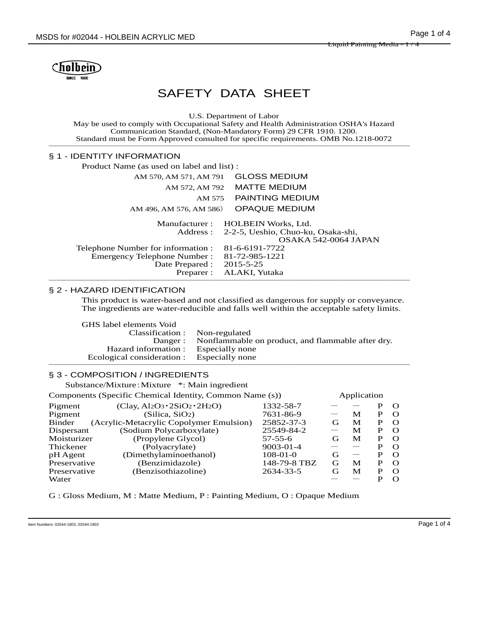

# SAFETY DATA SHEET

U.S. Department of Labor

May be used to comply with Occupational Safety and Health Administration OSHA's Hazard Communication Standard, (Non-Mandatory Form) 29 CFR 1910. 1200. Standard must be Form Approved consulted for specific requirements. OMB No.1218-0072 ──────────────────────────────────────────

#### § 1 - IDENTITY INFORMATION

Product Name (as used on label and list) :

| AM 570, AM 571, AM 791             | <b>GLOSS MEDIUM</b>                         |
|------------------------------------|---------------------------------------------|
| AM 572, AM 792                     | <b>MATTE MEDIUM</b>                         |
| AM 575                             | PAINTING MEDIUM                             |
| AM 496, AM 576, AM 586)            | <b>OPAQUE MEDIUM</b>                        |
| Manufacturer :                     | HOLBEIN Works, Ltd.                         |
|                                    | Address: 2-2-5, Ueshio, Chuo-ku, Osaka-shi, |
|                                    | OSAKA 542-0064 JAPAN                        |
| Telephone Number for information : | 81-6-6191-7722                              |
| <b>Emergency Telephone Number:</b> | 81-72-985-1221                              |
| Date Prepared :                    | 2015-5-25                                   |
| Preparer :                         | ALAKI, Yutaka                               |
|                                    |                                             |

#### § 2 - HAZARD IDENTIFICATION

This product is water-based and not classified as dangerous for supply or conveyance. The ingredients are water-reducible and falls well within the acceptable safety limits.

| GHS label elements Void                    |                                                           |
|--------------------------------------------|-----------------------------------------------------------|
| Classification : Non-regulated             |                                                           |
|                                            | Danger: Nonflammable on product, and flammable after dry. |
| Hazard information : Especially none       |                                                           |
| Ecological consideration : Especially none |                                                           |
|                                            |                                                           |

### § 3 - COMPOSITION / INGREDIENTS

Substance/Mixture:Mixture \*: Main ingredient

Components (Specific Chemical Identity, Common Name (s)) Application

| components (opeen referring a recitativity common Funne (b))<br>$1$ Application |                                                           |              |   |   |          |
|---------------------------------------------------------------------------------|-----------------------------------------------------------|--------------|---|---|----------|
| $(Clay, Al2O3 \cdot 2SiO2 \cdot 2H2O)$                                          | 1332-58-7                                                 |              |   |   | $\Omega$ |
| (Silica, SiO <sub>2</sub> )                                                     | 7631-86-9                                                 |              | М | Р | $\Omega$ |
| (Acrylic-Metacrylic Copolymer Emulsion)                                         | 25852-37-3                                                | $\mathbf{G}$ | M |   | $\Omega$ |
| (Sodium Polycarboxylate)                                                        | 25549-84-2                                                |              | M | P | $\Omega$ |
| (Propylene Glycol)                                                              | $57 - 55 - 6$                                             | G,           | M | P | $\Omega$ |
| (Polyacrylate)                                                                  | $9003 - 01 - 4$                                           |              |   | р | $\Omega$ |
| (Dimethylaminoethanol)                                                          | $108-01-0$                                                | G            |   | Р | $\Omega$ |
| (Benzimidazole)                                                                 | 148-79-8 TBZ                                              | G            | M | Р | $\Omega$ |
| (Benzisothiazoline)                                                             | 2634-33-5                                                 | G            | M | р | $\Omega$ |
|                                                                                 |                                                           |              |   |   |          |
|                                                                                 | Dispersant<br>Moisturizer<br>Preservative<br>Preservative |              |   |   |          |

G : Gloss Medium, M : Matte Medium, P : Painting Medium, O : Opaque Medium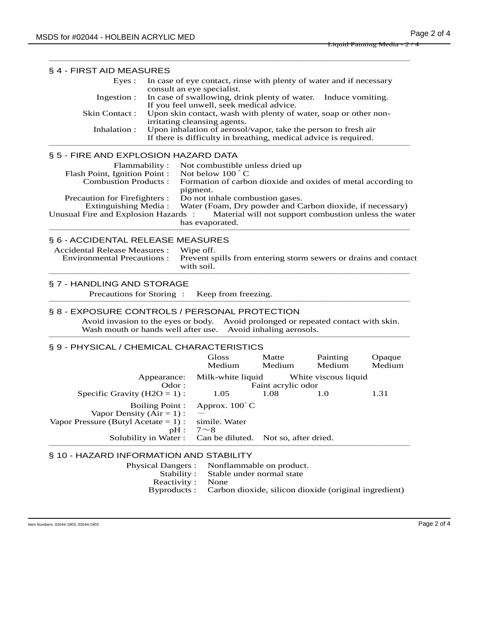| § 4 - FIRST AID MEASURES                                                                                                                                              |                                                                                                                                                                    |                                                                                                                                          |                                                       |                      |                                                       |
|-----------------------------------------------------------------------------------------------------------------------------------------------------------------------|--------------------------------------------------------------------------------------------------------------------------------------------------------------------|------------------------------------------------------------------------------------------------------------------------------------------|-------------------------------------------------------|----------------------|-------------------------------------------------------|
| Eyes :                                                                                                                                                                |                                                                                                                                                                    | In case of eye contact, rinse with plenty of water and if necessary                                                                      |                                                       |                      |                                                       |
| Ingestion:                                                                                                                                                            |                                                                                                                                                                    | consult an eye specialist.<br>In case of swallowing, drink plenty of water. Induce vomiting.<br>If you feel unwell, seek medical advice. |                                                       |                      |                                                       |
| Skin Contact:                                                                                                                                                         |                                                                                                                                                                    | Upon skin contact, wash with plenty of water, soap or other non-                                                                         |                                                       |                      |                                                       |
| Inhalation:                                                                                                                                                           | irritating cleansing agents.<br>Upon inhalation of aerosol/vapor, take the person to fresh air<br>If there is difficulty in breathing, medical advice is required. |                                                                                                                                          |                                                       |                      |                                                       |
| § 5 - FIRE AND EXPLOSION HAZARD DATA                                                                                                                                  |                                                                                                                                                                    |                                                                                                                                          |                                                       |                      |                                                       |
| Not combustible unless dried up<br>Flammability:<br>Not below 100 °C<br>Flash Point, Ignition Point :<br>Formation of carbon dioxide and oxides of metal according to |                                                                                                                                                                    |                                                                                                                                          |                                                       |                      |                                                       |
| <b>Combustion Products:</b>                                                                                                                                           |                                                                                                                                                                    | pigment.                                                                                                                                 |                                                       |                      |                                                       |
| Precaution for Firefighters :                                                                                                                                         |                                                                                                                                                                    | Do not inhale combustion gases.                                                                                                          |                                                       |                      |                                                       |
| <b>Extinguishing Media:</b><br>Unusual Fire and Explosion Hazards:                                                                                                    |                                                                                                                                                                    | Water (Foam, Dry powder and Carbon dioxide, if necessary)                                                                                |                                                       |                      | Material will not support combustion unless the water |
|                                                                                                                                                                       |                                                                                                                                                                    | has evaporated.                                                                                                                          |                                                       |                      |                                                       |
| § 6 - ACCIDENTAL RELEASE MEASURES                                                                                                                                     |                                                                                                                                                                    |                                                                                                                                          |                                                       |                      |                                                       |
| <b>Accidental Release Measures:</b>                                                                                                                                   |                                                                                                                                                                    | Wipe off.                                                                                                                                |                                                       |                      |                                                       |
| <b>Environmental Precautions:</b>                                                                                                                                     |                                                                                                                                                                    | Prevent spills from entering storm sewers or drains and contact<br>with soil.                                                            |                                                       |                      |                                                       |
| § 7 - HANDLING AND STORAGE                                                                                                                                            |                                                                                                                                                                    |                                                                                                                                          |                                                       |                      |                                                       |
| Precautions for Storing:<br>Keep from freezing.                                                                                                                       |                                                                                                                                                                    |                                                                                                                                          |                                                       |                      |                                                       |
| § 8 - EXPOSURE CONTROLS / PERSONAL PROTECTION                                                                                                                         |                                                                                                                                                                    |                                                                                                                                          |                                                       |                      |                                                       |
| Avoid invasion to the eyes or body. Avoid prolonged or repeated contact with skin.<br>Wash mouth or hands well after use.                                             |                                                                                                                                                                    |                                                                                                                                          | Avoid inhaling aerosols.                              |                      |                                                       |
| § 9 - PHYSICAL / CHEMICAL CHARACTERISTICS                                                                                                                             |                                                                                                                                                                    |                                                                                                                                          |                                                       |                      |                                                       |
|                                                                                                                                                                       |                                                                                                                                                                    | Gloss<br>Medium                                                                                                                          | Matte<br>Medium                                       | Painting<br>Medium   | Opaque<br>Medium                                      |
|                                                                                                                                                                       | Appearance:                                                                                                                                                        | Milk-white liquid                                                                                                                        |                                                       | White viscous liquid |                                                       |
| Specific Gravity ( $H2O = 1$ ):                                                                                                                                       | Odor:                                                                                                                                                              | 1.05                                                                                                                                     | Faint acrylic odor<br>1.08                            | 1.0                  | 1.31                                                  |
|                                                                                                                                                                       | <b>Boiling Point:</b>                                                                                                                                              | Approx. $100^{\circ}$ C                                                                                                                  |                                                       |                      |                                                       |
| Vapor Density ( $Air = 1$ ) :<br>Vapor Pressure (Butyl Acetate $= 1$ ):                                                                                               |                                                                                                                                                                    | simile. Water                                                                                                                            |                                                       |                      |                                                       |
|                                                                                                                                                                       | pH:<br>Solubility in Water:                                                                                                                                        | $7 \sim 8$<br>Can be diluted.                                                                                                            | Not so, after dried.                                  |                      |                                                       |
| § 10 - HAZARD INFORMATION AND STABILITY                                                                                                                               |                                                                                                                                                                    |                                                                                                                                          |                                                       |                      |                                                       |
|                                                                                                                                                                       | <b>Physical Dangers:</b>                                                                                                                                           |                                                                                                                                          | Nonflammable on product.                              |                      |                                                       |
|                                                                                                                                                                       | Stability:                                                                                                                                                         | None                                                                                                                                     | Stable under normal state                             |                      |                                                       |
|                                                                                                                                                                       | Reactivity:<br>Byproducts:                                                                                                                                         |                                                                                                                                          | Carbon dioxide, silicon dioxide (original ingredient) |                      |                                                       |

──────────────────────────────────────────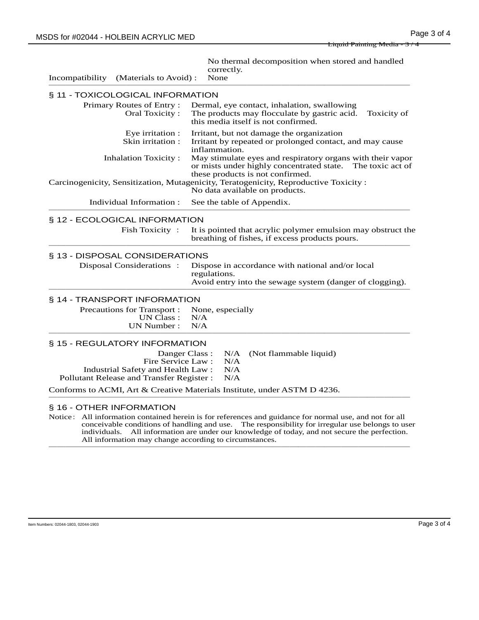Liquid Painting Media - 3 / 4

No thermal decomposition when stored and handled correctly.

Incompatibility (Materials to Avoid) : None ────<del>─</del>

## § 11 - TOXICOLOGICAL INFORMATION

| <b>STEP TOAIGOLOGICAL INFORMATION</b>                 |                                                                                                                                                              |  |  |
|-------------------------------------------------------|--------------------------------------------------------------------------------------------------------------------------------------------------------------|--|--|
| Primary Routes of Entry:<br>Oral Toxicity:            | Dermal, eye contact, inhalation, swallowing<br>The products may flocculate by gastric acid.<br>Toxicity of<br>this media itself is not confirmed.            |  |  |
| Eye irritation :<br>Skin irritation:                  | Irritant, but not damage the organization<br>Irritant by repeated or prolonged contact, and may cause<br>inflammation.                                       |  |  |
| <b>Inhalation Toxicity:</b>                           | May stimulate eyes and respiratory organs with their vapor<br>or mists under highly concentrated state. The toxic act of<br>these products is not confirmed. |  |  |
|                                                       | Carcinogenicity, Sensitization, Mutagenicity, Teratogenicity, Reproductive Toxicity:<br>No data available on products.                                       |  |  |
| Individual Information:                               | See the table of Appendix.                                                                                                                                   |  |  |
| § 12 - ECOLOGICAL INFORMATION                         |                                                                                                                                                              |  |  |
| Fish Toxicity:                                        | It is pointed that acrylic polymer emulsion may obstruct the<br>breathing of fishes, if excess products pours.                                               |  |  |
| § 13 - DISPOSAL CONSIDERATIONS                        |                                                                                                                                                              |  |  |
| Disposal Considerations:                              | Dispose in accordance with national and/or local<br>regulations.<br>Avoid entry into the sewage system (danger of clogging).                                 |  |  |
| § 14 - TRANSPORT INFORMATION                          |                                                                                                                                                              |  |  |
| Precautions for Transport:<br>UN Class:<br>UN Number: | None, especially<br>N/A<br>N/A                                                                                                                               |  |  |
| § 15 - REGULATORY INFORMATION                         |                                                                                                                                                              |  |  |
| Danger Class:<br>Fire Service Law:                    | N/A<br>(Not flammable liquid)<br>N/A                                                                                                                         |  |  |
| Industrial Safety and Health Law:                     | N/A                                                                                                                                                          |  |  |
| Pollutant Release and Transfer Register:              | N/A                                                                                                                                                          |  |  |
|                                                       | Conforms to ACMI, Art & Creative Materials Institute, under ASTM D 4236.                                                                                     |  |  |
| § 16 - OTHER INFORMATION                              |                                                                                                                                                              |  |  |

Notice: All information contained herein is for references and guidance for normal use, and not for all conceivable conditions of handling and use. The responsibility for irregular use belongs to user individuals. All information are under our knowledge of today, and not secure the perfection. All information may change according to circumstances. ──────────────────────────────────────────